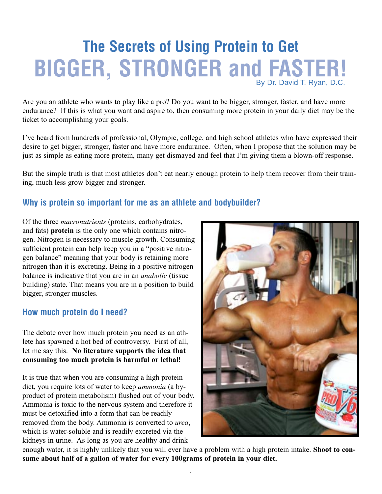# **The Secrets of Using Protein to Get BIGGER, STRONGER and FASTER!** By Dr. David T. Ryan, D.C.

Are you an athlete who wants to play like a pro? Do you want to be bigger, stronger, faster, and have more endurance? If this is what you want and aspire to, then consuming more protein in your daily diet may be the ticket to accomplishing your goals.

I've heard from hundreds of professional, Olympic, college, and high school athletes who have expressed their desire to get bigger, stronger, faster and have more endurance. Often, when I propose that the solution may be just as simple as eating more protein, many get dismayed and feel that I'm giving them a blown-off response.

But the simple truth is that most athletes don't eat nearly enough protein to help them recover from their training, much less grow bigger and stronger.

## **Why is protein so important for me as an athlete and bodybuilder?**

Of the three *macronutrients* (proteins, carbohydrates, and fats) **protein** is the only one which contains nitrogen. Nitrogen is necessary to muscle growth. Consuming sufficient protein can help keep you in a "positive nitrogen balance" meaning that your body is retaining more nitrogen than it is excreting. Being in a positive nitrogen balance is indicative that you are in an *anabolic* (tissue building) state. That means you are in a position to build bigger, stronger muscles.

## **How much protein do I need?**

The debate over how much protein you need as an athlete has spawned a hot bed of controversy. First of all, let me say this. **No literature supports the idea that consuming too much protein is harmful or lethal!**

It is true that when you are consuming a high protein diet, you require lots of water to keep *ammonia* (a byproduct of protein metabolism) flushed out of your body. Ammonia is toxic to the nervous system and therefore it must be detoxified into a form that can be readily removed from the body. Ammonia is converted to *urea*, which is water-soluble and is readily excreted via the kidneys in urine. As long as you are healthy and drink



enough water, it is highly unlikely that you will ever have a problem with a high protein intake. **Shoot to consume about half of a gallon of water for every 100grams of protein in your diet.**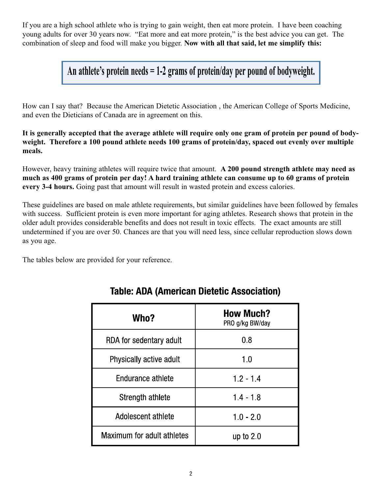If you are a high school athlete who is trying to gain weight, then eat more protein. I have been coaching young adults for over 30 years now. "Eat more and eat more protein," is the best advice you can get. The combination of sleep and food will make you bigger. **Now with all that said, let me simplify this:**

**An athlete's protein needs = 1-2 grams of protein/day per pound of bodyweight.**

How can I say that? Because the American Dietetic Association , the American College of Sports Medicine, and even the Dieticians of Canada are in agreement on this.

**It is generally accepted that the average athlete will require only one gram of protein per pound of bodyweight. Therefore a 100 pound athlete needs 100 grams of protein/day, spaced out evenly over multiple meals.**

However, heavy training athletes will require twice that amount. **A 200 pound strength athlete may need as much as 400 grams of protein per day! A hard training athlete can consume up to 60 grams of protein every 3-4 hours.** Going past that amount will result in wasted protein and excess calories.

These guidelines are based on male athlete requirements, but similar guidelines have been followed by females with success. Sufficient protein is even more important for aging athletes. Research shows that protein in the older adult provides considerable benefits and does not result in toxic effects. The exact amounts are still undetermined if you are over 50. Chances are that you will need less, since cellular reproduction slows down as you age.

The tables below are provided for your reference.

| Who?                       | <b>How Much?</b><br>PRO g/kg BW/day |
|----------------------------|-------------------------------------|
| RDA for sedentary adult    | 0.8                                 |
| Physically active adult    | 1.0                                 |
| Endurance athlete          | $1.2 - 1.4$                         |
| Strength athlete           | $1.4 - 1.8$                         |
| Adolescent athlete         | $1.0 - 2.0$                         |
| Maximum for adult athletes | up to $2.0$                         |

## **Table: ADA (American Dietetic Association)**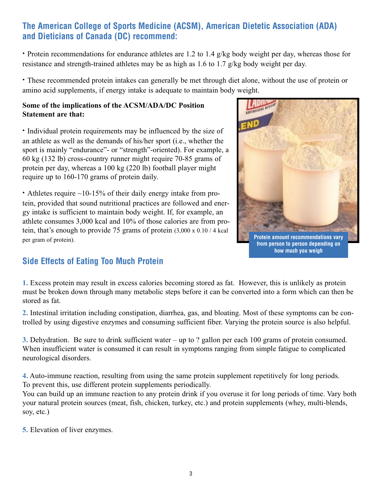## **The American College of Sports Medicine (ACSM), American Dietetic Association (ADA) and Dieticians of Canada (DC) recommend:**

**·** Protein recommendations for endurance athletes are 1.2 to 1.4 g/kg body weight per day, whereas those for resistance and strength-trained athletes may be as high as 1.6 to 1.7 g/kg body weight per day.

**·** These recommended protein intakes can generally be met through diet alone, without the use of protein or amino acid supplements, if energy intake is adequate to maintain body weight.

### **Some of the implications of the ACSM/ADA/DC Position Statement are that:**

**·** Individual protein requirements may be influenced by the size of an athlete as well as the demands of his/her sport (i.e., whether the sport is mainly "endurance"- or "strength"-oriented). For example, a 60 kg (132 lb) cross-country runner might require 70-85 grams of protein per day, whereas a 100 kg (220 lb) football player might require up to 160-170 grams of protein daily.

**·** Athletes require ~10-15% of their daily energy intake from protein, provided that sound nutritional practices are followed and energy intake is sufficient to maintain body weight. If, for example, an athlete consumes 3,000 kcal and 10% of those calories are from protein, that's enough to provide 75 grams of protein (3,000 x 0.10 / 4 kcal per gram of protein).



## **Side Effects of Eating Too Much Protein**

**1.** Excess protein may result in excess calories becoming stored as fat. However, this is unlikely as protein must be broken down through many metabolic steps before it can be converted into a form which can then be stored as fat.

**2.** Intestinal irritation including constipation, diarrhea, gas, and bloating. Most of these symptoms can be controlled by using digestive enzymes and consuming sufficient fiber. Varying the protein source is also helpful.

**3.** Dehydration. Be sure to drink sufficient water – up to ? gallon per each 100 grams of protein consumed. When insufficient water is consumed it can result in symptoms ranging from simple fatigue to complicated neurological disorders.

**4.** Auto-immune reaction, resulting from using the same protein supplement repetitively for long periods. To prevent this, use different protein supplements periodically.

You can build up an immune reaction to any protein drink if you overuse it for long periods of time. Vary both your natural protein sources (meat, fish, chicken, turkey, etc.) and protein supplements (whey, multi-blends, soy, etc.)

**5.** Elevation of liver enzymes.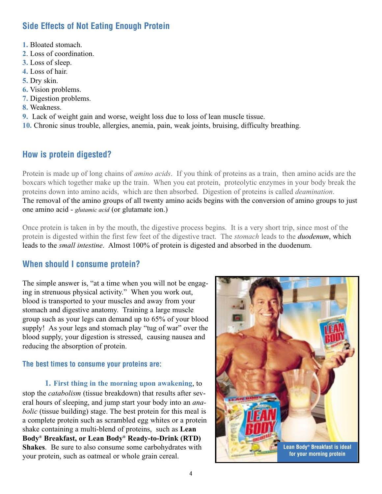## **Side Effects of Not Eating Enough Protein**

- **1.** Bloated stomach.
- **2**. Loss of coordination.
- **3.** Loss of sleep.
- **4.** Loss of hair.
- **5.** Dry skin.
- **6.** Vision problems.
- **7.** Digestion problems.
- **8.** Weakness.
- **9.** Lack of weight gain and worse, weight loss due to loss of lean muscle tissue.
- **10.** Chronic sinus trouble, allergies, anemia, pain, weak joints, bruising, difficulty breathing.

## **How is protein digested?**

Protein is made up of long chains of *amino acids*. If you think of proteins as a train, then amino acids are the boxcars which together make up the train. When you eat protein, proteolytic enzymes in your body break the proteins down into amino acids, which are then absorbed. Digestion of proteins is called *deamination*. The removal of the amino groups of all twenty amino acids begins with the conversion of amino groups to just one amino acid - *glutamic acid* (or glutamate ion.)

Once protein is taken in by the mouth, the digestive process begins. It is a very short trip, since most of the protein is digested within the first few feet of the digestive tract. The *stomach* leads to the *duodenum*, which leads to the *small intestine*. Almost 100% of protein is digested and absorbed in the duodenum.

## **When should I consume protein?**

The simple answer is, "at a time when you will not be engaging in strenuous physical activity." When you work out, blood is transported to your muscles and away from your stomach and digestive anatomy. Training a large muscle group such as your legs can demand up to 65% of your blood supply! As your legs and stomach play "tug of war" over the blood supply, your digestion is stressed, causing nausea and reducing the absorption of protein.

### **The best times to consume your proteins are:**

**1. First thing in the morning upon awakening**, to stop the *catabolism* (tissue breakdown) that results after several hours of sleeping, and jump start your body into an *anabolic* (tissue building) stage. The best protein for this meal is a complete protein such as scrambled egg whites or a protein shake containing a multi-blend of proteins, such as **Lean Body® Breakfast, or Lean Body® Ready-to-Drink (RTD) Shakes**. Be sure to also consume some carbohydrates with your protein, such as oatmeal or whole grain cereal.

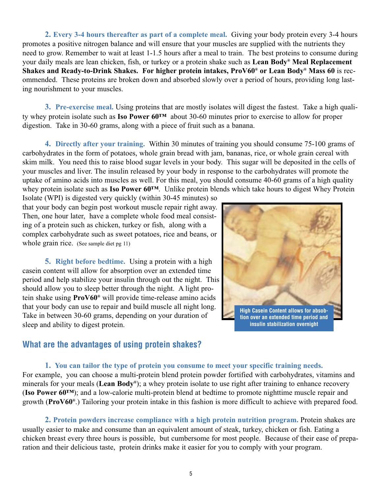**2. Every 3-4 hours thereafter as part of a complete meal.** Giving your body protein every 3-4 hours promotes a positive nitrogen balance and will ensure that your muscles are supplied with the nutrients they need to grow. Remember to wait at least 1-1.5 hours after a meal to train. The best proteins to consume during your daily meals are lean chicken, fish, or turkey or a protein shake such as **Lean Body® Meal Replacement Shakes and Ready-to-Drink Shakes. For higher protein intakes, ProV60® or Lean Body® Mass 60** is recommended. These proteins are broken down and absorbed slowly over a period of hours, providing long lasting nourishment to your muscles.

**3. Pre-exercise meal.** Using proteins that are mostly isolates will digest the fastest. Take a high quality whey protein isolate such as **Iso Power 60™** about 30-60 minutes prior to exercise to allow for proper digestion. Take in 30-60 grams, along with a piece of fruit such as a banana.

**4. Directly after your training.** Within 30 minutes of training you should consume 75-100 grams of carbohydrates in the form of potatoes, whole grain bread with jam, bananas, rice, or whole grain cereal with skim milk. You need this to raise blood sugar levels in your body. This sugar will be deposited in the cells of your muscles and liver. The insulin released by your body in response to the carbohydrates will promote the uptake of amino acids into muscles as well. For this meal, you should consume 40-60 grams of a high quality whey protein isolate such as **Iso Power 60™**. Unlike protein blends which take hours to digest Whey Protein

Isolate (WPI) is digested very quickly (within 30-45 minutes) so that your body can begin post workout muscle repair right away. Then, one hour later, have a complete whole food meal consisting of a protein such as chicken, turkey or fish, along with a complex carbohydrate such as sweet potatoes, rice and beans, or whole grain rice. (See sample diet pg 11)

**5. Right before bedtime.** Using a protein with a high casein content will allow for absorption over an extended time period and help stabilize your insulin through out the night. This should allow you to sleep better through the night. A light protein shake using **ProV60®** will provide time-release amino acids that your body can use to repair and build muscle all night long. Take in between 30-60 grams, depending on your duration of sleep and ability to digest protein.



## **What are the advantages of using protein shakes?**

### **1. You can tailor the type of protein you consume to meet your specific training needs.**

For example, you can choose a multi-protein blend protein powder fortified with carbohydrates, vitamins and minerals for your meals (**Lean Body®**); a whey protein isolate to use right after training to enhance recovery (**Iso Power 60™**); and a low-calorie multi-protein blend at bedtime to promote nighttime muscle repair and growth (**ProV60®**.) Tailoring your protein intake in this fashion is more difficult to achieve with prepared food.

**2. Protein powders increase compliance with a high protein nutrition program.** Protein shakes are usually easier to make and consume than an equivalent amount of steak, turkey, chicken or fish. Eating a chicken breast every three hours is possible, but cumbersome for most people. Because of their ease of preparation and their delicious taste, protein drinks make it easier for you to comply with your program.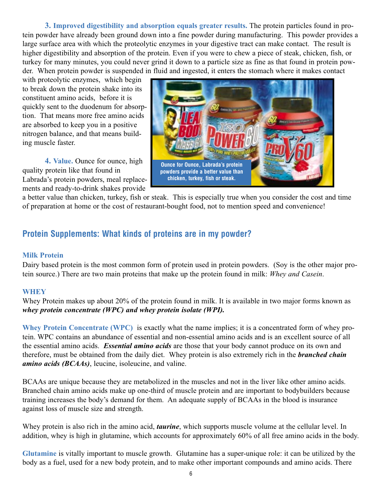**3. Improved digestibility and absorption equals greater results.** The protein particles found in protein powder have already been ground down into a fine powder during manufacturing. This powder provides a large surface area with which the proteolytic enzymes in your digestive tract can make contact. The result is higher digestibility and absorption of the protein. Even if you were to chew a piece of steak, chicken, fish, or turkey for many minutes, you could never grind it down to a particle size as fine as that found in protein powder. When protein powder is suspended in fluid and ingested, it enters the stomach where it makes contact

with proteolytic enzymes, which begin to break down the protein shake into its constituent amino acids, before it is quickly sent to the duodenum for absorption. That means more free amino acids are absorbed to keep you in a positive nitrogen balance, and that means building muscle faster.

**4. Value.** Ounce for ounce, high quality protein like that found in Labrada's protein powders, meal replacements and ready-to-drink shakes provide



a better value than chicken, turkey, fish or steak. This is especially true when you consider the cost and time of preparation at home or the cost of restaurant-bought food, not to mention speed and convenience!

## **Protein Supplements: What kinds of proteins are in my powder?**

### **Milk Protein**

Dairy based protein is the most common form of protein used in protein powders. (Soy is the other major protein source.) There are two main proteins that make up the protein found in milk: *Whey and Casein*.

### **WHEY**

Whey Protein makes up about 20% of the protein found in milk. It is available in two major forms known as *whey protein concentrate (WPC) and whey protein isolate (WPI).* 

**Whey Protein Concentrate (WPC)** is exactly what the name implies; it is a concentrated form of whey protein. WPC contains an abundance of essential and non-essential amino acids and is an excellent source of all the essential amino acids. *Essential amino acids* are those that your body cannot produce on its own and therefore, must be obtained from the daily diet. Whey protein is also extremely rich in the *branched chain amino acids (BCAAs)*, leucine, isoleucine, and valine.

BCAAs are unique because they are metabolized in the muscles and not in the liver like other amino acids. Branched chain amino acids make up one-third of muscle protein and are important to bodybuilders because training increases the body's demand for them. An adequate supply of BCAAs in the blood is insurance against loss of muscle size and strength.

Whey protein is also rich in the amino acid, *taurine*, which supports muscle volume at the cellular level. In addition, whey is high in glutamine, which accounts for approximately 60% of all free amino acids in the body.

**Glutamine** is vitally important to muscle growth. Glutamine has a super-unique role: it can be utilized by the body as a fuel, used for a new body protein, and to make other important compounds and amino acids. There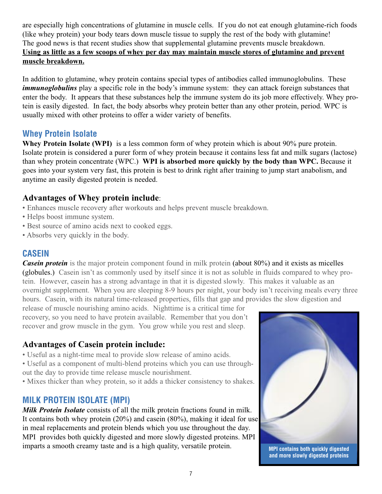are especially high concentrations of glutamine in muscle cells. If you do not eat enough glutamine-rich foods (like whey protein) your body tears down muscle tissue to supply the rest of the body with glutamine! The good news is that recent studies show that supplemental glutamine prevents muscle breakdown. **Using as little as a few scoops of whey per day may maintain muscle stores of glutamine and prevent muscle breakdown.**

In addition to glutamine, whey protein contains special types of antibodies called immunoglobulins. These *immunoglobulins* play a specific role in the body's immune system: they can attack foreign substances that enter the body. It appears that these substances help the immune system do its job more effectively. Whey protein is easily digested. In fact, the body absorbs whey protein better than any other protein, period. WPC is usually mixed with other proteins to offer a wider variety of benefits.

## **Whey Protein Isolate**

**Whey Protein Isolate (WPI)** is a less common form of whey protein which is about 90% pure protein. Isolate protein is considered a purer form of whey protein because it contains less fat and milk sugars (lactose) than whey protein concentrate (WPC.) **WPI is absorbed more quickly by the body than WPC.** Because it goes into your system very fast, this protein is best to drink right after training to jump start anabolism, and anytime an easily digested protein is needed.

## **Advantages of Whey protein include**:

- Enhances muscle recovery after workouts and helps prevent muscle breakdown.
- Helps boost immune system.
- Best source of amino acids next to cooked eggs.
- Absorbs very quickly in the body.

## **CASEIN**

*Casein protein* is the major protein component found in milk protein (about 80%) and it exists as micelles (globules.) Casein isn't as commonly used by itself since it is not as soluble in fluids compared to whey protein. However, casein has a strong advantage in that it is digested slowly. This makes it valuable as an overnight supplement. When you are sleeping 8-9 hours per night, your body isn't receiving meals every three hours. Casein, with its natural time-released properties, fills that gap and provides the slow digestion and

release of muscle nourishing amino acids. Nighttime is a critical time for recovery, so you need to have protein available. Remember that you don't recover and grow muscle in the gym. You grow while you rest and sleep.

## **Advantages of Casein protein include:**

- Useful as a night-time meal to provide slow release of amino acids.
- Useful as a component of multi-blend proteins which you can use throughout the day to provide time release muscle nourishment.
- Mixes thicker than whey protein, so it adds a thicker consistency to shakes.

## **MILK PROTEIN ISOLATE (MPI)**

*Milk Protein Isolate* consists of all the milk protein fractions found in milk. It contains both whey protein (20%) and casein (80%), making it ideal for use in meal replacements and protein blends which you use throughout the day. MPI provides both quickly digested and more slowly digested proteins. MPI imparts a smooth creamy taste and is a high quality, versatile protein.



**MPI contains both quickly digested and more slowly digested proteins**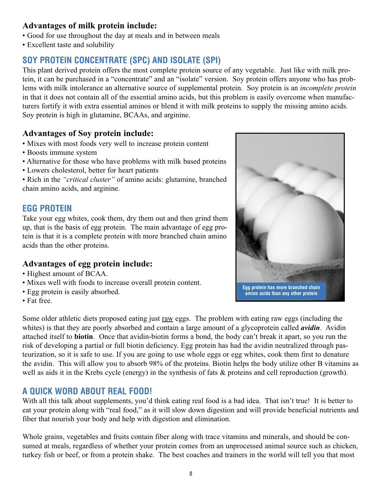## **Advantages of milk protein include:**

- Good for use throughout the day at meals and in between meals
- Excellent taste and solubility

## **SOY PROTEIN CONCENTRATE (SPC) AND ISOLATE (SPI)**

This plant derived protein offers the most complete protein source of any vegetable. Just like with milk protein, it can be purchased in a "concentrate" and an "isolate" version. Soy protein offers anyone who has problems with milk intolerance an alternative source of supplemental protein. Soy protein is an *incomplete protein* in that it does not contain all of the essential amino acids, but this problem is easily overcome when manufacturers fortify it with extra essential aminos or blend it with milk proteins to supply the missing amino acids. Soy protein is high in glutamine, BCAAs, and arginine.

### **Advantages of Soy protein include:**

- Mixes with most foods very well to increase protein content
- Boosts immune system
- Alternative for those who have problems with milk based proteins
- Lowers cholesterol, better for heart patients

• Rich in the *"critical cluster"* of amino acids: glutamine, branched chain amino acids, and arginine.

## **EGG PROTEIN**

Take your egg whites, cook them, dry them out and then grind them up, that is the basis of egg protein. The main advantage of egg protein is that it is a complete protein with more branched chain amino acids than the other proteins.

## **Advantages of egg protein include:**

- Highest amount of BCAA.
- Mixes well with foods to increase overall protein content.
- Egg protein is easily absorbed.
- Fat free.

**Egg protein has more branched chain amino acids than any other protein**

Some older athletic diets proposed eating just raw eggs. The problem with eating raw eggs (including the whites) is that they are poorly absorbed and contain a large amount of a glycoprotein called *avidin*. Avidin attached itself to **biotin**. Once that avidin-biotin forms a bond, the body can't break it apart, so you run the risk of developing a partial or full biotin deficiency. Egg protein has had the avidin neutralized through pasteurization, so it is safe to use. If you are going to use whole eggs or egg whites, cook them first to denature the avidin. This will allow you to absorb 98% of the proteins. Biotin helps the body utilize other B vitamins as well as aids it in the Krebs cycle (energy) in the synthesis of fats  $\&$  proteins and cell reproduction (growth).

## **A QUICK WORD ABOUT REAL FOOD!**

With all this talk about supplements, you'd think eating real food is a bad idea. That isn't true! It is better to eat your protein along with "real food," as it will slow down digestion and will provide beneficial nutrients and fiber that nourish your body and help with digestion and elimination.

Whole grains, vegetables and fruits contain fiber along with trace vitamins and minerals, and should be consumed at meals, regardless of whether your protein comes from an unprocessed animal source such as chicken, turkey fish or beef, or from a protein shake. The best coaches and trainers in the world will tell you that most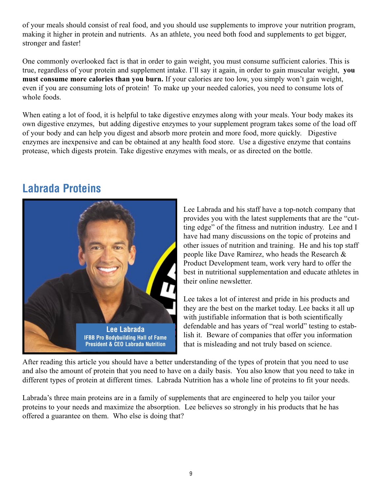of your meals should consist of real food, and you should use supplements to improve your nutrition program, making it higher in protein and nutrients. As an athlete, you need both food and supplements to get bigger, stronger and faster!

One commonly overlooked fact is that in order to gain weight, you must consume sufficient calories. This is true, regardless of your protein and supplement intake. I'll say it again, in order to gain muscular weight, **you must consume more calories than you burn.** If your calories are too low, you simply won't gain weight, even if you are consuming lots of protein! To make up your needed calories, you need to consume lots of whole foods.

When eating a lot of food, it is helpful to take digestive enzymes along with your meals. Your body makes its own digestive enzymes, but adding digestive enzymes to your supplement program takes some of the load off of your body and can help you digest and absorb more protein and more food, more quickly. Digestive enzymes are inexpensive and can be obtained at any health food store. Use a digestive enzyme that contains protease, which digests protein. Take digestive enzymes with meals, or as directed on the bottle.

## **Labrada Proteins**



Lee Labrada and his staff have a top-notch company that provides you with the latest supplements that are the "cutting edge" of the fitness and nutrition industry. Lee and I have had many discussions on the topic of proteins and other issues of nutrition and training. He and his top staff people like Dave Ramirez, who heads the Research & Product Development team, work very hard to offer the best in nutritional supplementation and educate athletes in their online newsletter.

Lee takes a lot of interest and pride in his products and they are the best on the market today. Lee backs it all up with justifiable information that is both scientifically defendable and has years of "real world" testing to establish it. Beware of companies that offer you information that is misleading and not truly based on science.

After reading this article you should have a better understanding of the types of protein that you need to use and also the amount of protein that you need to have on a daily basis. You also know that you need to take in different types of protein at different times. Labrada Nutrition has a whole line of proteins to fit your needs.

Labrada's three main proteins are in a family of supplements that are engineered to help you tailor your proteins to your needs and maximize the absorption. Lee believes so strongly in his products that he has offered a guarantee on them. Who else is doing that?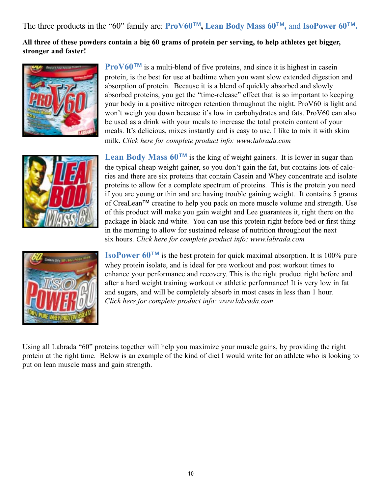The three products in the "60" family are: **ProV60™ , Lean Body Mass 60™ ,** and **IsoPower 60™.**

**All three of these powders contain a big 60 grams of protein per serving, to help athletes get bigger, stronger and faster!**





**ProV60<sup>™</sup>** is a multi-blend of five proteins, and since it is highest in casein protein, is the best for use at bedtime when you want slow extended digestion and absorption of protein. Because it is a blend of quickly absorbed and slowly absorbed proteins, you get the "time-release" effect that is so important to keeping your body in a positive nitrogen retention throughout the night. ProV60 is light and won't weigh you down because it's low in carbohydrates and fats. ProV60 can also be used as a drink with your meals to increase the total protein content of your meals. It's delicious, mixes instantly and is easy to use. I like to mix it with skim milk. *Click here for complete product info: www.labrada.com*

**Lean Body Mass 60™** is the king of weight gainers. It is lower in sugar than the typical cheap weight gainer, so you don't gain the fat, but contains lots of calories and there are six proteins that contain Casein and Whey concentrate and isolate proteins to allow for a complete spectrum of proteins. This is the protein you need if you are young or thin and are having trouble gaining weight. It contains 5 grams of CreaLean**™** creatine to help you pack on more muscle volume and strength. Use of this product will make you gain weight and Lee guarantees it, right there on the package in black and white. You can use this protein right before bed or first thing in the morning to allow for sustained release of nutrition throughout the next six hours. *Click here for complete product info: www.labrada.com*



**IsoPower 60™** is the best protein for quick maximal absorption. It is 100% pure whey protein isolate, and is ideal for pre workout and post workout times to enhance your performance and recovery. This is the right product right before and after a hard weight training workout or athletic performance! It is very low in fat and sugars, and will be completely absorb in most cases in less than 1 hour. *Click here for complete product info: www.labrada.com*

Using all Labrada "60" proteins together will help you maximize your muscle gains, by providing the right protein at the right time. Below is an example of the kind of diet I would write for an athlete who is looking to put on lean muscle mass and gain strength.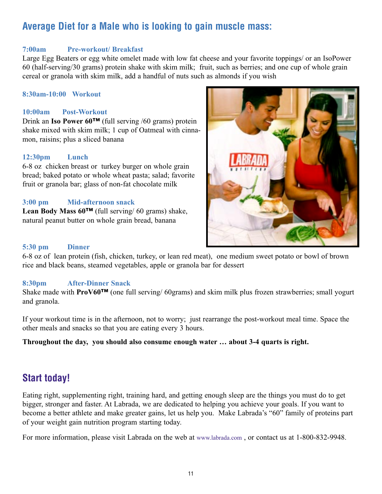## **Average Diet for a Male who is looking to gain muscle mass:**

### **7:00am Pre-workout/ Breakfast**

Large Egg Beaters or egg white omelet made with low fat cheese and your favorite toppings/ or an IsoPower 60 (half-serving/30 grams) protein shake with skim milk; fruit, such as berries; and one cup of whole grain cereal or granola with skim milk, add a handful of nuts such as almonds if you wish

### **8:30am-10:00 Workout**

### **10:00am Post-Workout**

Drink an **Iso Power 60™** (full serving /60 grams) protein shake mixed with skim milk; 1 cup of Oatmeal with cinnamon, raisins; plus a sliced banana

### **12:30pm Lunch**

6-8 oz chicken breast or turkey burger on whole grain bread; baked potato or whole wheat pasta; salad; favorite fruit or granola bar; glass of non-fat chocolate milk

### **3:00 pm Mid-afternoon snack**

**Lean Body Mass 60™** (full serving/ 60 grams) shake, natural peanut butter on whole grain bread, banana



### **5:30 pm Dinner**

6-8 oz of lean protein (fish, chicken, turkey, or lean red meat), one medium sweet potato or bowl of brown rice and black beans, steamed vegetables, apple or granola bar for dessert

### **8:30pm After-Dinner Snack**

Shake made with **ProV60™** (one full serving/ 60grams) and skim milk plus frozen strawberries; small yogurt and granola.

If your workout time is in the afternoon, not to worry; just rearrange the post-workout meal time. Space the other meals and snacks so that you are eating every 3 hours.

**Throughout the day, you should also consume enough water … about 3-4 quarts is right.**

## **Start today!**

Eating right, supplementing right, training hard, and getting enough sleep are the things you must do to get bigger, stronger and faster. At Labrada, we are dedicated to helping you achieve your goals. If you want to become a better athlete and make greater gains, let us help you. Make Labrada's "60" family of proteins part of your weight gain nutrition program starting today.

For more information, please visit Labrada on the web at www.labrada.com , or contact us at 1-800-832-9948.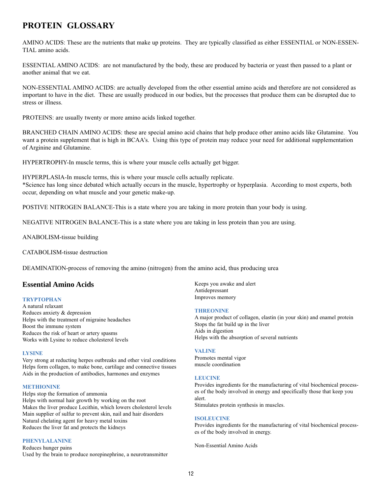## **PROTEIN GLOSSARY**

AMINO ACIDS: These are the nutrients that make up proteins. They are typically classified as either ESSENTIAL or NON-ESSEN-TIAL amino acids.

ESSENTIAL AMINO ACIDS: are not manufactured by the body, these are produced by bacteria or yeast then passed to a plant or another animal that we eat.

NON-ESSENTIAL AMINO ACIDS: are actually developed from the other essential amino acids and therefore are not considered as important to have in the diet. These are usually produced in our bodies, but the processes that produce them can be disrupted due to stress or illness.

PROTEINS: are usually twenty or more amino acids linked together.

BRANCHED CHAIN AMINO ACIDS: these are special amino acid chains that help produce other amino acids like Glutamine. You want a protein supplement that is high in BCAA's. Using this type of protein may reduce your need for additional supplementation of Arginine and Glutamine.

HYPERTROPHY-In muscle terms, this is where your muscle cells actually get bigger.

HYPERPLASIA-In muscle terms, this is where your muscle cells actually replicate. \*Science has long since debated which actually occurs in the muscle, hypertrophy or hyperplasia. According to most experts, both occur, depending on what muscle and your genetic make-up.

POSTIVE NITROGEN BALANCE-This is a state where you are taking in more protein than your body is using.

NEGATIVE NITROGEN BALANCE-This is a state where you are taking in less protein than you are using.

ANABOLISM-tissue building

CATABOLISM-tissue destruction

DEAMINATION-process of removing the amino (nitrogen) from the amino acid, thus producing urea

### **Essential Amino Acids**

### **TRYPTOPHAN**

A natural relaxant Reduces anxiety & depression Helps with the treatment of migraine headaches Boost the immune system Reduces the risk of heart or artery spasms Works with Lysine to reduce cholesterol levels

### **LYSINE**

Very strong at reducting herpes outbreaks and other viral conditions Helps form collagen, to make bone, cartilage and connective tissues Aids in the production of antibodies, harmones and enzymes

#### **METHIONINE**

Helps stop the formation of ammonia Helps with normal hair growth by working on the root Makes the liver produce Lecithin, which lowers cholesterol levels Main supplier of sulfur to prevent skin, nail and hair disorders Natural chelating agent for heavy metal toxins Reduces the liver fat and protects the kidneys

### **PHENYLALANINE**

Reduces hunger pains Used by the brain to produce norepinephrine, a neurotransmitter Keeps you awake and alert Antidepressant Improves memory

#### **THREONINE**

A major product of collagen, elastin (in your skin) and enamel protein Stops the fat build up in the liver Aids in digestion Helps with the absorption of several nutrients

#### **VALINE**

Promotes mental vigor muscle coordination

### **LEUCINE**

Provides ingredients for the manufacturing of vital biochemical processes of the body involved in energy and specifically those that keep you alert.

Stimulates protein synthesis in muscles.

### **ISOLEUCINE**

Provides ingredients for the manufacturing of vital biochemical processes of the body involved in energy.

Non-Essential Amino Acids